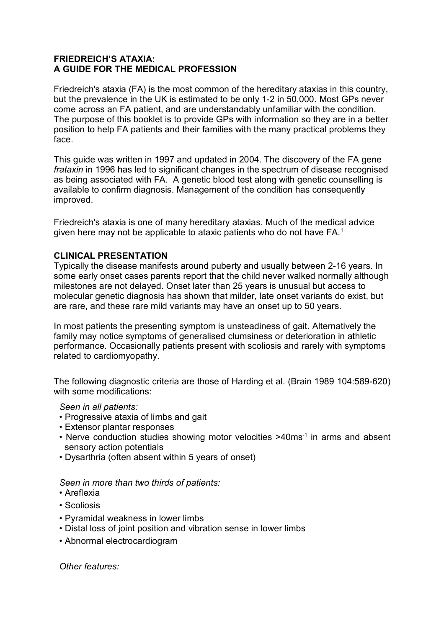## **FRIEDREICH'S ATAXIA: A GUIDE FOR THE MEDICAL PROFESSION**

Friedreich's ataxia (FA) is the most common of the hereditary ataxias in this country, but the prevalence in the UK is estimated to be only 1-2 in 50,000. Most GPs never come across an FA patient, and are understandably unfamiliar with the condition. The purpose of this booklet is to provide GPs with information so they are in a better position to help FA patients and their families with the many practical problems they face.

This guide was written in 1997 and updated in 2004. The discovery of the FA gene *frataxin* in 1996 has led to significant changes in the spectrum of disease recognised as being associated with FA. A genetic blood test along with genetic counselling is available to confirm diagnosis. Management of the condition has consequently improved.

Friedreich's ataxia is one of many hereditary ataxias. Much of the medical advice given here may not be applicable to ataxic patients who do not have FA.<sup>1</sup>

## **CLINICAL PRESENTATION**

Typically the disease manifests around puberty and usually between 2-16 years. In some early onset cases parents report that the child never walked normally although milestones are not delayed. Onset later than 25 years is unusual but access to molecular genetic diagnosis has shown that milder, late onset variants do exist, but are rare, and these rare mild variants may have an onset up to 50 years.

In most patients the presenting symptom is unsteadiness of gait. Alternatively the family may notice symptoms of generalised clumsiness or deterioration in athletic performance. Occasionally patients present with scoliosis and rarely with symptoms related to cardiomyopathy.

The following diagnostic criteria are those of Harding et al. (Brain 1989 104:589-620) with some modifications:

### *Seen in all patients:*

- Progressive ataxia of limbs and gait
- Extensor plantar responses
- Nerve conduction studies showing motor velocities >40ms<sup>-1</sup> in arms and absent sensory action potentials
- Dysarthria (often absent within 5 years of onset)

*Seen in more than two thirds of patients:*

- Areflexia
- Scoliosis
- Pyramidal weakness in lower limbs
- Distal loss of joint position and vibration sense in lower limbs
- Abnormal electrocardiogram

*Other features:*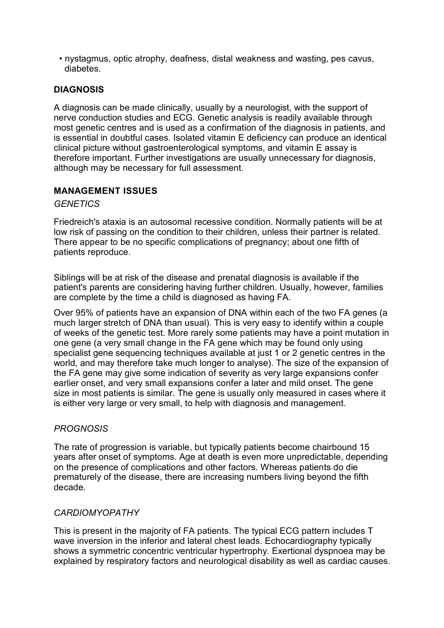• nystagmus, optic atrophy, deafness, distal weakness and wasting, pes cavus, diabetes.

# **DIAGNOSIS**

A diagnosis can be made clinically, usually by a neurologist, with the support of nerve conduction studies and ECG. Genetic analysis is readily available through most genetic centres and is used as a confirmation of the diagnosis in patients, and is essential in doubtful cases. Isolated vitamin E deficiency can produce an identical clinical picture without gastroenterological symptoms, and vitamin E assay is therefore important. Further investigations are usually unnecessary for diagnosis, although may be necessary for full assessment.

## **MANAGEMENT ISSUES**

### *GENETICS*

Friedreich's ataxia is an autosomal recessive condition. Normally patients will be at low risk of passing on the condition to their children, unless their partner is related. There appear to be no specific complications of pregnancy; about one fifth of patients reproduce.

Siblings will be at risk of the disease and prenatal diagnosis is available if the patient's parents are considering having further children. Usually, however, families are complete by the time a child is diagnosed as having FA.

Over 95% of patients have an expansion of DNA within each of the two FA genes (a much larger stretch of DNA than usual). This is very easy to identify within a couple of weeks of the genetic test. More rarely some patients may have a point mutation in one gene (a very small change in the FA gene which may be found only using specialist gene sequencing techniques available at just 1 or 2 genetic centres in the world, and may therefore take much longer to analyse). The size of the expansion of the FA gene may give some indication of severity as very large expansions confer earlier onset, and very small expansions confer a later and mild onset. The gene size in most patients is similar. The gene is usually only measured in cases where it is either very large or very small, to help with diagnosis and management.

## *PROGNOSIS*

The rate of progression is variable, but typically patients become chairbound 15 years after onset of symptoms. Age at death is even more unpredictable, depending on the presence of complications and other factors. Whereas patients do die prematurely of the disease, there are increasing numbers living beyond the fifth decade.

## *CARDIOMYOPATHY*

This is present in the majority of FA patients. The typical ECG pattern includes T wave inversion in the inferior and lateral chest leads. Echocardiography typically shows a symmetric concentric ventricular hypertrophy. Exertional dyspnoea may be explained by respiratory factors and neurological disability as well as cardiac causes.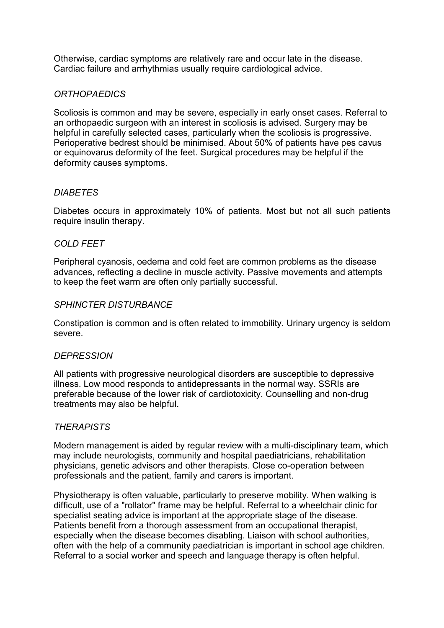Otherwise, cardiac symptoms are relatively rare and occur late in the disease. Cardiac failure and arrhythmias usually require cardiological advice.

# *ORTHOPAEDICS*

Scoliosis is common and may be severe, especially in early onset cases. Referral to an orthopaedic surgeon with an interest in scoliosis is advised. Surgery may be helpful in carefully selected cases, particularly when the scoliosis is progressive. Perioperative bedrest should be minimised. About 50% of patients have pes cavus or equinovarus deformity of the feet. Surgical procedures may be helpful if the deformity causes symptoms.

# *DIABETES*

Diabetes occurs in approximately 10% of patients. Most but not all such patients require insulin therapy.

# *COLD FEET*

Peripheral cyanosis, oedema and cold feet are common problems as the disease advances, reflecting a decline in muscle activity. Passive movements and attempts to keep the feet warm are often only partially successful.

## *SPHINCTER DISTURBANCE*

Constipation is common and is often related to immobility. Urinary urgency is seldom severe.

## *DEPRESSION*

All patients with progressive neurological disorders are susceptible to depressive illness. Low mood responds to antidepressants in the normal way. SSRIs are preferable because of the lower risk of cardiotoxicity. Counselling and non-drug treatments may also be helpful.

## *THERAPISTS*

Modern management is aided by regular review with a multi-disciplinary team, which may include neurologists, community and hospital paediatricians, rehabilitation physicians, genetic advisors and other therapists. Close co-operation between professionals and the patient, family and carers is important.

Physiotherapy is often valuable, particularly to preserve mobility. When walking is difficult, use of a "rollator" frame may be helpful. Referral to a wheelchair clinic for specialist seating advice is important at the appropriate stage of the disease. Patients benefit from a thorough assessment from an occupational therapist, especially when the disease becomes disabling. Liaison with school authorities, often with the help of a community paediatrician is important in school age children. Referral to a social worker and speech and language therapy is often helpful.